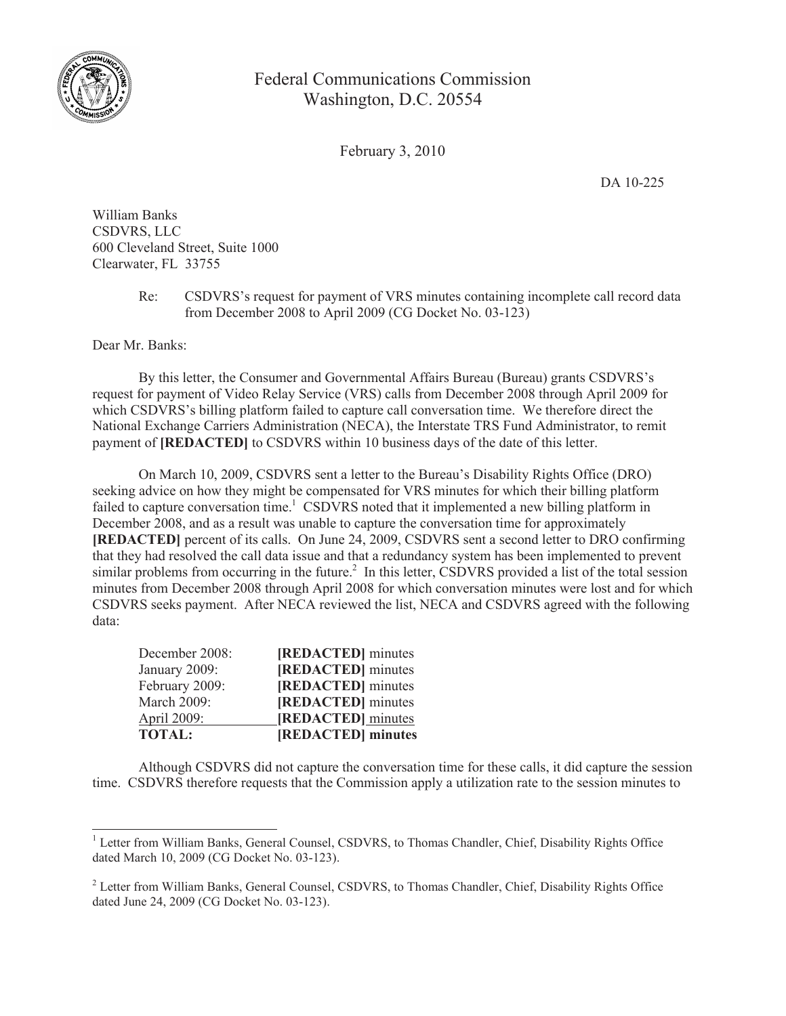

## Federal Communications Commission Washington, D.C. 20554

February 3, 2010

DA 10-225

William Banks CSDVRS, LLC 600 Cleveland Street, Suite 1000 Clearwater, FL 33755

> Re: CSDVRS's request for payment of VRS minutes containing incomplete call record data from December 2008 to April 2009 (CG Docket No. 03-123)

Dear Mr. Banks:

By this letter, the Consumer and Governmental Affairs Bureau (Bureau) grants CSDVRS's request for payment of Video Relay Service (VRS) calls from December 2008 through April 2009 for which CSDVRS's billing platform failed to capture call conversation time. We therefore direct the National Exchange Carriers Administration (NECA), the Interstate TRS Fund Administrator, to remit payment of **[REDACTED]** to CSDVRS within 10 business days of the date of this letter.

On March 10, 2009, CSDVRS sent a letter to the Bureau's Disability Rights Office (DRO) seeking advice on how they might be compensated for VRS minutes for which their billing platform failed to capture conversation time.<sup>1</sup> CSDVRS noted that it implemented a new billing platform in December 2008, and as a result was unable to capture the conversation time for approximately **[REDACTED]** percent of its calls. On June 24, 2009, CSDVRS sent a second letter to DRO confirming that they had resolved the call data issue and that a redundancy system has been implemented to prevent similar problems from occurring in the future.<sup>2</sup> In this letter, CSDVRS provided a list of the total session minutes from December 2008 through April 2008 for which conversation minutes were lost and for which CSDVRS seeks payment. After NECA reviewed the list, NECA and CSDVRS agreed with the following data:

| <b>TOTAL:</b>  | [REDACTED] minutes |
|----------------|--------------------|
| April 2009:    | [REDACTED] minutes |
| March 2009:    | [REDACTED] minutes |
| February 2009: | [REDACTED] minutes |
| January 2009:  | [REDACTED] minutes |
| December 2008: | [REDACTED] minutes |

Although CSDVRS did not capture the conversation time for these calls, it did capture the session time. CSDVRS therefore requests that the Commission apply a utilization rate to the session minutes to

<sup>&</sup>lt;sup>1</sup> Letter from William Banks, General Counsel, CSDVRS, to Thomas Chandler, Chief, Disability Rights Office dated March 10, 2009 (CG Docket No. 03-123).

<sup>&</sup>lt;sup>2</sup> Letter from William Banks, General Counsel, CSDVRS, to Thomas Chandler, Chief, Disability Rights Office dated June 24, 2009 (CG Docket No. 03-123).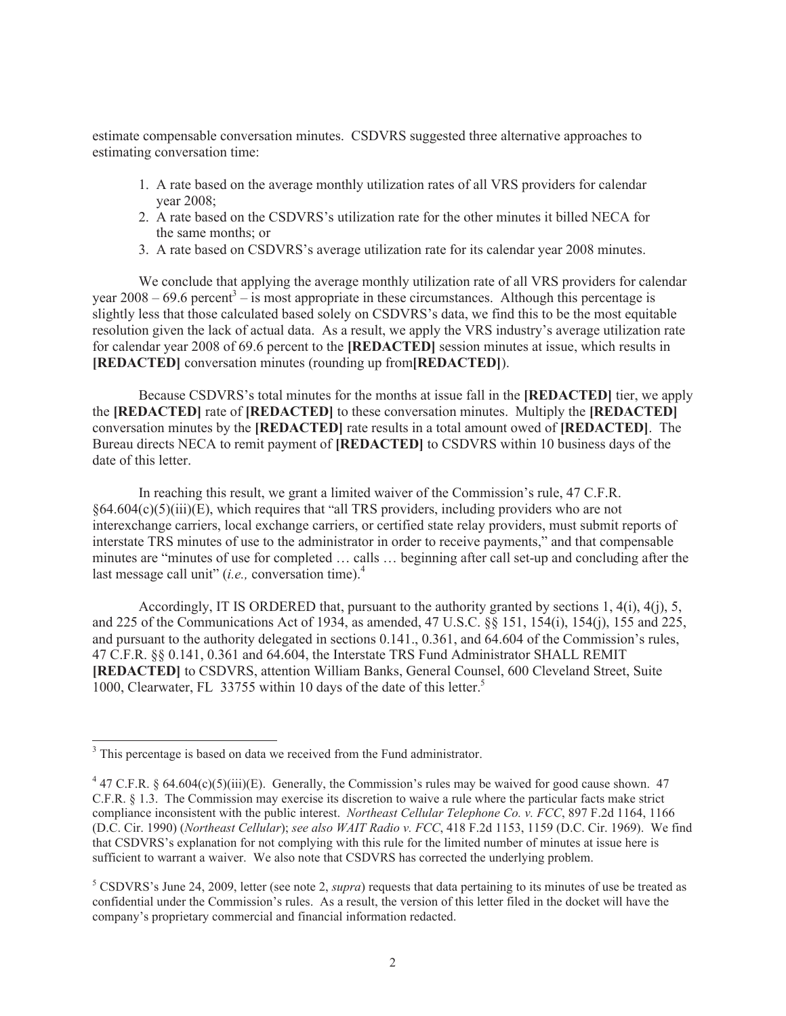estimate compensable conversation minutes. CSDVRS suggested three alternative approaches to estimating conversation time:

- 1. A rate based on the average monthly utilization rates of all VRS providers for calendar year 2008;
- 2. A rate based on the CSDVRS's utilization rate for the other minutes it billed NECA for the same months; or
- 3. A rate based on CSDVRS's average utilization rate for its calendar year 2008 minutes.

We conclude that applying the average monthly utilization rate of all VRS providers for calendar year  $2008 - 69.6$  percent<sup>3</sup> – is most appropriate in these circumstances. Although this percentage is slightly less that those calculated based solely on CSDVRS's data, we find this to be the most equitable resolution given the lack of actual data. As a result, we apply the VRS industry's average utilization rate for calendar year 2008 of 69.6 percent to the **[REDACTED]** session minutes at issue, which results in **[REDACTED]** conversation minutes (rounding up from**[REDACTED]**).

Because CSDVRS's total minutes for the months at issue fall in the **[REDACTED]** tier, we apply the **[REDACTED]** rate of **[REDACTED]** to these conversation minutes. Multiply the **[REDACTED]** conversation minutes by the **[REDACTED]** rate results in a total amount owed of **[REDACTED]**. The Bureau directs NECA to remit payment of **[REDACTED]** to CSDVRS within 10 business days of the date of this letter.

In reaching this result, we grant a limited waiver of the Commission's rule, 47 C.F.R.  $§64.604(c)(5)(iii)(E)$ , which requires that "all TRS providers, including providers who are not interexchange carriers, local exchange carriers, or certified state relay providers, must submit reports of interstate TRS minutes of use to the administrator in order to receive payments," and that compensable minutes are "minutes of use for completed … calls … beginning after call set-up and concluding after the last message call unit" (*i.e.*, conversation time).<sup>4</sup>

Accordingly, IT IS ORDERED that, pursuant to the authority granted by sections 1, 4(i), 4(j), 5, and 225 of the Communications Act of 1934, as amended, 47 U.S.C. §§ 151, 154(i), 154(j), 155 and 225, and pursuant to the authority delegated in sections 0.141., 0.361, and 64.604 of the Commission's rules, 47 C.F.R. §§ 0.141, 0.361 and 64.604, the Interstate TRS Fund Administrator SHALL REMIT **[REDACTED]** to CSDVRS, attention William Banks, General Counsel, 600 Cleveland Street, Suite 1000, Clearwater, FL 33755 within 10 days of the date of this letter.<sup>5</sup>

<sup>&</sup>lt;sup>3</sup> This percentage is based on data we received from the Fund administrator.

 $4$  47 C.F.R. § 64.604(c)(5)(iii)(E). Generally, the Commission's rules may be waived for good cause shown. 47 C.F.R. § 1.3. The Commission may exercise its discretion to waive a rule where the particular facts make strict compliance inconsistent with the public interest. *Northeast Cellular Telephone Co. v. FCC*, 897 F.2d 1164, 1166 (D.C. Cir. 1990) (*Northeast Cellular*); *see also WAIT Radio v. FCC*, 418 F.2d 1153, 1159 (D.C. Cir. 1969). We find that CSDVRS's explanation for not complying with this rule for the limited number of minutes at issue here is sufficient to warrant a waiver. We also note that CSDVRS has corrected the underlying problem.

<sup>5</sup> CSDVRS's June 24, 2009, letter (see note 2, *supra*) requests that data pertaining to its minutes of use be treated as confidential under the Commission's rules. As a result, the version of this letter filed in the docket will have the company's proprietary commercial and financial information redacted.